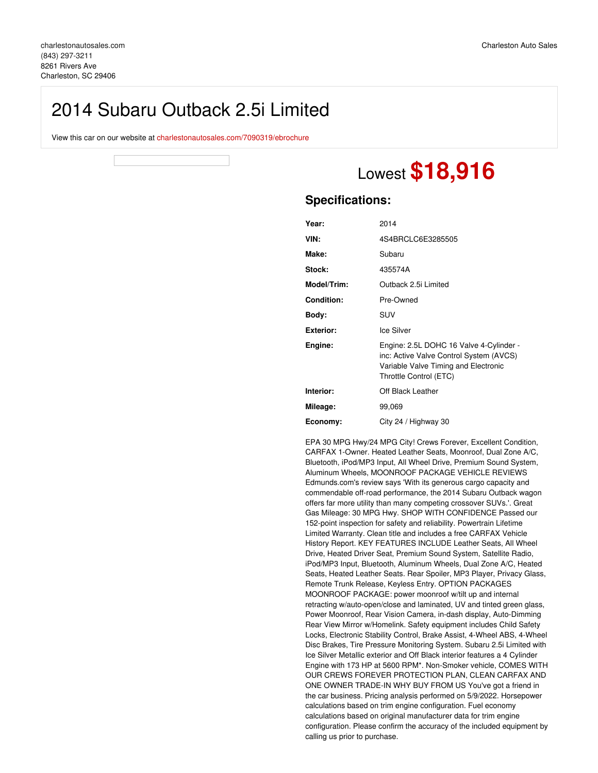## 2014 Subaru Outback 2.5i Limited

View this car on our website at [charlestonautosales.com/7090319/ebrochure](https://charlestonautosales.com/vehicle/7090319/2014-subaru-outback-2-5i-limited-charleston-sc-29406/7090319/ebrochure)



# Lowest **\$18,916**

### **Specifications:**

| Year:             | 2014                                                                                                                                                 |
|-------------------|------------------------------------------------------------------------------------------------------------------------------------------------------|
| VIN:              | 4S4BRCLC6E3285505                                                                                                                                    |
| Make:             | Subaru                                                                                                                                               |
| Stock:            | 435574A                                                                                                                                              |
| Model/Trim:       | Outback 2.5i Limited                                                                                                                                 |
| <b>Condition:</b> | Pre-Owned                                                                                                                                            |
| Body:             | SUV                                                                                                                                                  |
| <b>Exterior:</b>  | Ice Silver                                                                                                                                           |
| Engine:           | Engine: 2.5L DOHC 16 Valve 4-Cylinder -<br>inc: Active Valve Control System (AVCS)<br>Variable Valve Timing and Electronic<br>Throttle Control (ETC) |
| Interior:         | Off Black Leather                                                                                                                                    |
| Mileage:          | 99,069                                                                                                                                               |
| Economy:          | City 24 / Highway 30                                                                                                                                 |

EPA 30 MPG Hwy/24 MPG City! Crews Forever, Excellent Condition, CARFAX 1-Owner. Heated Leather Seats, Moonroof, Dual Zone A/C, Bluetooth, iPod/MP3 Input, All Wheel Drive, Premium Sound System, Aluminum Wheels, MOONROOF PACKAGE VEHICLE REVIEWS Edmunds.com's review says 'With its generous cargo capacity and commendable off-road performance, the 2014 Subaru Outback wagon offers far more utility than many competing crossover SUVs.'. Great Gas Mileage: 30 MPG Hwy. SHOP WITH CONFIDENCE Passed our 152-point inspection for safety and reliability. Powertrain Lifetime Limited Warranty. Clean title and includes a free CARFAX Vehicle History Report. KEY FEATURES INCLUDE Leather Seats, All Wheel Drive, Heated Driver Seat, Premium Sound System, Satellite Radio, iPod/MP3 Input, Bluetooth, Aluminum Wheels, Dual Zone A/C, Heated Seats, Heated Leather Seats. Rear Spoiler, MP3 Player, Privacy Glass, Remote Trunk Release, Keyless Entry. OPTION PACKAGES MOONROOF PACKAGE: power moonroof w/tilt up and internal retracting w/auto-open/close and laminated, UV and tinted green glass, Power Moonroof, Rear Vision Camera, in-dash display, Auto-Dimming Rear View Mirror w/Homelink. Safety equipment includes Child Safety Locks, Electronic Stability Control, Brake Assist, 4-Wheel ABS, 4-Wheel Disc Brakes, Tire Pressure Monitoring System. Subaru 2.5i Limited with Ice Silver Metallic exterior and Off Black interior features a 4 Cylinder Engine with 173 HP at 5600 RPM\*. Non-Smoker vehicle, COMES WITH OUR CREWS FOREVER PROTECTION PLAN, CLEAN CARFAX AND ONE OWNER TRADE-IN WHY BUY FROM US You've got a friend in the car business. Pricing analysis performed on 5/9/2022. Horsepower calculations based on trim engine configuration. Fuel economy calculations based on original manufacturer data for trim engine configuration. Please confirm the accuracy of the included equipment by calling us prior to purchase.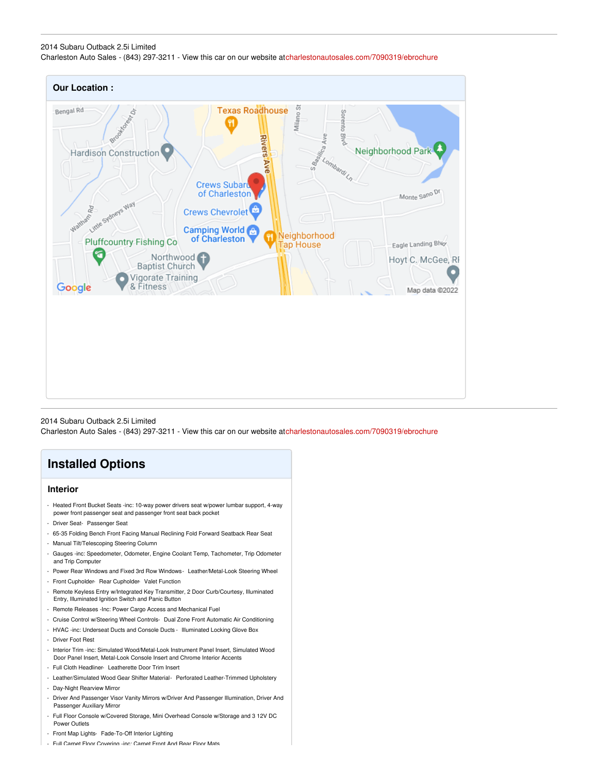#### 2014 Subaru Outback 2.5i Limited Charleston Auto Sales - (843) 297-3211 - View this car on our website a[tcharlestonautosales.com/7090319/ebrochure](https://charlestonautosales.com/vehicle/7090319/2014-subaru-outback-2-5i-limited-charleston-sc-29406/7090319/ebrochure)



2014 Subaru Outback 2.5i Limited Charleston Auto Sales - (843) 297-3211 - View this car on our website a[tcharlestonautosales.com/7090319/ebrochure](https://charlestonautosales.com/vehicle/7090319/2014-subaru-outback-2-5i-limited-charleston-sc-29406/7090319/ebrochure)

## **Installed Options**

#### **Interior**

- Heated Front Bucket Seats -inc: 10-way power drivers seat w/power lumbar support, 4-way power front passenger seat and passenger front seat back pocket
- Driver Seat- Passenger Seat
- 65-35 Folding Bench Front Facing Manual Reclining Fold Forward Seatback Rear Seat
- Manual Tilt/Telescoping Steering Column
- Gauges -inc: Speedometer, Odometer, Engine Coolant Temp, Tachometer, Trip Odometer and Trip Computer
- Power Rear Windows and Fixed 3rd Row Windows- Leather/Metal-Look Steering Wheel
- Front Cupholder- Rear Cupholder- Valet Function
- Remote Keyless Entry w/Integrated Key Transmitter, 2 Door Curb/Courtesy, Illuminated Entry, Illuminated Ignition Switch and Panic Button
- Remote Releases -Inc: Power Cargo Access and Mechanical Fuel
- Cruise Control w/Steering Wheel Controls- Dual Zone Front Automatic Air Conditioning
- HVAC -inc: Underseat Ducts and Console Ducts Illuminated Locking Glove Box
- Driver Foot Rest
- Interior Trim -inc: Simulated Wood/Metal-Look Instrument Panel Insert, Simulated Wood Door Panel Insert, Metal-Look Console Insert and Chrome Interior Accents
- Full Cloth Headliner- Leatherette Door Trim Insert
- Leather/Simulated Wood Gear Shifter Material- Perforated Leather-Trimmed Upholstery
- Day-Night Rearview Mirror
- Driver And Passenger Visor Vanity Mirrors w/Driver And Passenger Illumination, Driver And Passenger Auxiliary Mirror
- Full Floor Console w/Covered Storage, Mini Overhead Console w/Storage and 3 12V DC Power Outlets
- Front Map Lights- Fade-To-Off Interior Lighting
- Full Carpet Floor Covering -inc: Carpet Front And Rear Floor Mats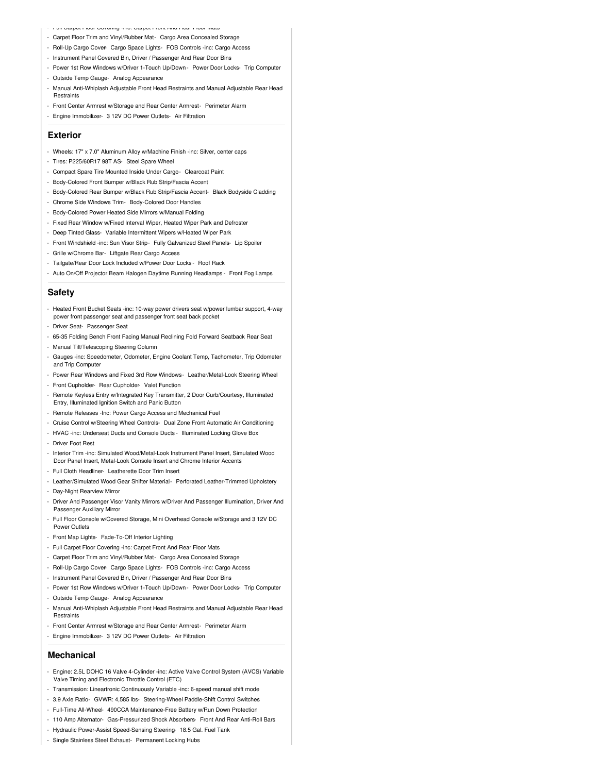- Full Carpet Floor Covering -inc: Carpet Front And Rear Floor Mats
- Carpet Floor Trim and Vinyl/Rubber Mat- Cargo Area Concealed Storage
- Roll-Up Cargo Cover- Cargo Space Lights- FOB Controls -inc: Cargo Access
- Instrument Panel Covered Bin, Driver / Passenger And Rear Door Bins
- Power 1st Row Windows w/Driver 1-Touch Up/Down Power Door Locks- Trip Computer
- Outside Temp Gauge- Analog Appearance
- Manual Anti-Whiplash Adjustable Front Head Restraints and Manual Adjustable Rear Head **Restraints**
- Front Center Armrest w/Storage and Rear Center Armrest- Perimeter Alarm
- Engine Immobilizer- 3 12V DC Power Outlets- Air Filtration

#### **Exterior**

- Wheels: 17" x 7.0" Aluminum Alloy w/Machine Finish -inc: Silver, center caps
- Tires: P225/60R17 98T AS- Steel Spare Wheel
- Compact Spare Tire Mounted Inside Under Cargo- Clearcoat Paint
- Body-Colored Front Bumper w/Black Rub Strip/Fascia Accent
- Body-Colored Rear Bumper w/Black Rub Strip/Fascia Accent- Black Bodyside Cladding
- Chrome Side Windows Trim- Body-Colored Door Handles
- Body-Colored Power Heated Side Mirrors w/Manual Folding
- Fixed Rear Window w/Fixed Interval Wiper, Heated Wiper Park and Defroster
- Deep Tinted Glass- Variable Intermittent Wipers w/Heated Wiper Park
- Front Windshield -inc: Sun Visor Strip- Fully Galvanized Steel Panels- Lip Spoiler
- Grille w/Chrome Bar- Liftgate Rear Cargo Access
- Tailgate/Rear Door Lock Included w/Power Door Locks Roof Rack
- Auto On/Off Projector Beam Halogen Daytime Running Headlamps Front Fog Lamps

#### **Safety**

- Heated Front Bucket Seats -inc: 10-way power drivers seat w/power lumbar support, 4-way power front passenger seat and passenger front seat back pocket
- Driver Seat- Passenger Seat
- 65-35 Folding Bench Front Facing Manual Reclining Fold Forward Seatback Rear Seat
- Manual Tilt/Telescoping Steering Column
- Gauges -inc: Speedometer, Odometer, Engine Coolant Temp, Tachometer, Trip Odometer and Trip Computer
- Power Rear Windows and Fixed 3rd Row Windows- Leather/Metal-Look Steering Wheel
- Front Cupholder- Rear Cupholder- Valet Function
- Remote Keyless Entry w/Integrated Key Transmitter, 2 Door Curb/Courtesy, Illuminated Entry, Illuminated Ignition Switch and Panic Button
- Remote Releases -Inc: Power Cargo Access and Mechanical Fuel
- Cruise Control w/Steering Wheel Controls- Dual Zone Front Automatic Air Conditioning
- HVAC -inc: Underseat Ducts and Console Ducts Illuminated Locking Glove Box
- Driver Foot Rest
- Interior Trim -inc: Simulated Wood/Metal-Look Instrument Panel Insert, Simulated Wood Door Panel Insert, Metal-Look Console Insert and Chrome Interior Accents
- Full Cloth Headliner- Leatherette Door Trim Insert
- Leather/Simulated Wood Gear Shifter Material- Perforated Leather-Trimmed Upholstery
- Day-Night Rearview Mirror
- Driver And Passenger Visor Vanity Mirrors w/Driver And Passenger Illumination, Driver And Passenger Auxiliary Mirror
- Full Floor Console w/Covered Storage, Mini Overhead Console w/Storage and 3 12V DC Power Outlets
- Front Map Lights- Fade-To-Off Interior Lighting
- Full Carpet Floor Covering -inc: Carpet Front And Rear Floor Mats
- Carpet Floor Trim and Vinyl/Rubber Mat- Cargo Area Concealed Storage
- Roll-Up Cargo Cover- Cargo Space Lights- FOB Controls -inc: Cargo Access
- Instrument Panel Covered Bin, Driver / Passenger And Rear Door Bins
- Power 1st Row Windows w/Driver 1-Touch Up/Down Power Door Locks- Trip Computer
- Outside Temp Gauge- Analog Appearance
- Manual Anti-Whiplash Adjustable Front Head Restraints and Manual Adjustable Rear Head **Restraints**
- Front Center Armrest w/Storage and Rear Center Armrest- Perimeter Alarm
- Engine Immobilizer- 3 12V DC Power Outlets- Air Filtration

#### **Mechanical**

- Engine: 2.5L DOHC 16 Valve 4-Cylinder -inc: Active Valve Control System (AVCS) Variable Valve Timing and Electronic Throttle Control (ETC)
- Transmission: Lineartronic Continuously Variable -inc: 6-speed manual shift mode
- 3.9 Axle Ratio- GVWR: 4,585 lbs- Steering-Wheel Paddle-Shift Control Switches
- Full-Time All-Wheel- 490CCA Maintenance-Free Battery w/Run Down Protection
- 110 Amp Alternator- Gas-Pressurized Shock Absorbers- Front And Rear Anti-Roll Bars
- Hydraulic Power-Assist Speed-Sensing Steering- 18.5 Gal. Fuel Tank
- Single Stainless Steel Exhaust- Permanent Locking Hubs